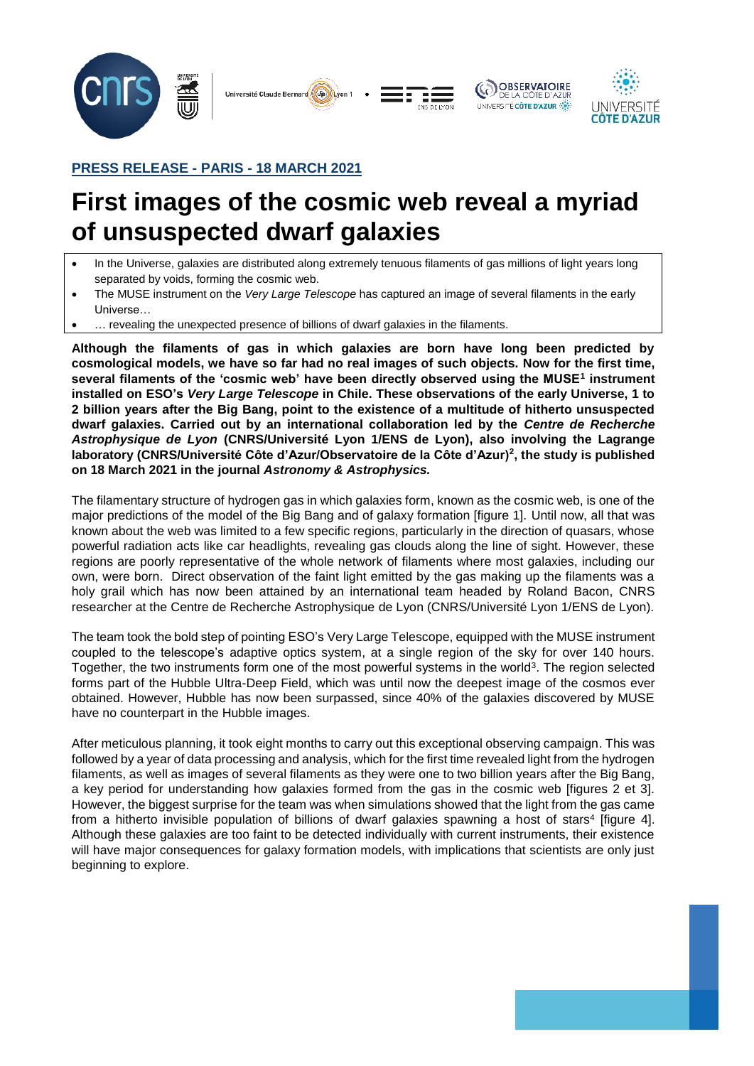

## **PRESS RELEASE - PARIS - 18 MARCH 2021**

# **First images of the cosmic web reveal a myriad of unsuspected dwarf galaxies**

- In the Universe, galaxies are distributed along extremely tenuous filaments of gas millions of light years long separated by voids, forming the cosmic web.
- The MUSE instrument on the *Very Large Telescope* has captured an image of several filaments in the early Universe…
- … revealing the unexpected presence of billions of dwarf galaxies in the filaments.

**Although the filaments of gas in which galaxies are born have long been predicted by cosmological models, we have so far had no real images of such objects. Now for the first time, several filaments of the 'cosmic web' have been directly observed using the MUSE<sup>1</sup> instrument installed on ESO's** *Very Large Telescope* **in Chile. These observations of the early Universe, 1 to 2 billion years after the Big Bang, point to the existence of a multitude of hitherto unsuspected dwarf galaxies. Carried out by an international collaboration led by the** *Centre de Recherche Astrophysique de Lyon* **(CNRS/Université Lyon 1/ENS de Lyon), also involving the Lagrange laboratory (CNRS/Université Côte d'Azur/Observatoire de la Côte d'Azur)<sup>2</sup> , the study is published on 18 March 2021 in the journal** *Astronomy & Astrophysics.*

The filamentary structure of hydrogen gas in which galaxies form, known as the cosmic web, is one of the major predictions of the model of the Big Bang and of galaxy formation [figure 1]. Until now, all that was known about the web was limited to a few specific regions, particularly in the direction of quasars, whose powerful radiation acts like car headlights, revealing gas clouds along the line of sight. However, these regions are poorly representative of the whole network of filaments where most galaxies, including our own, were born. Direct observation of the faint light emitted by the gas making up the filaments was a holy grail which has now been attained by an international team headed by Roland Bacon, CNRS researcher at the Centre de Recherche Astrophysique de Lyon (CNRS/Université Lyon 1/ENS de Lyon).

The team took the bold step of pointing ESO's Very Large Telescope, equipped with the MUSE instrument coupled to the telescope's adaptive optics system, at a single region of the sky for over 140 hours. Together, the two instruments form one of the most powerful systems in the world<sup>3</sup>. The region selected forms part of the Hubble Ultra-Deep Field, which was until now the deepest image of the cosmos ever obtained. However, Hubble has now been surpassed, since 40% of the galaxies discovered by MUSE have no counterpart in the Hubble images.

After meticulous planning, it took eight months to carry out this exceptional observing campaign. This was followed by a year of data processing and analysis, which for the first time revealed light from the hydrogen filaments, as well as images of several filaments as they were one to two billion years after the Big Bang, a key period for understanding how galaxies formed from the gas in the cosmic web [figures 2 et 3]. However, the biggest surprise for the team was when simulations showed that the light from the gas came from a hitherto invisible population of billions of dwarf galaxies spawning a host of stars<sup>4</sup> [figure 4]. Although these galaxies are too faint to be detected individually with current instruments, their existence will have major consequences for galaxy formation models, with implications that scientists are only just beginning to explore.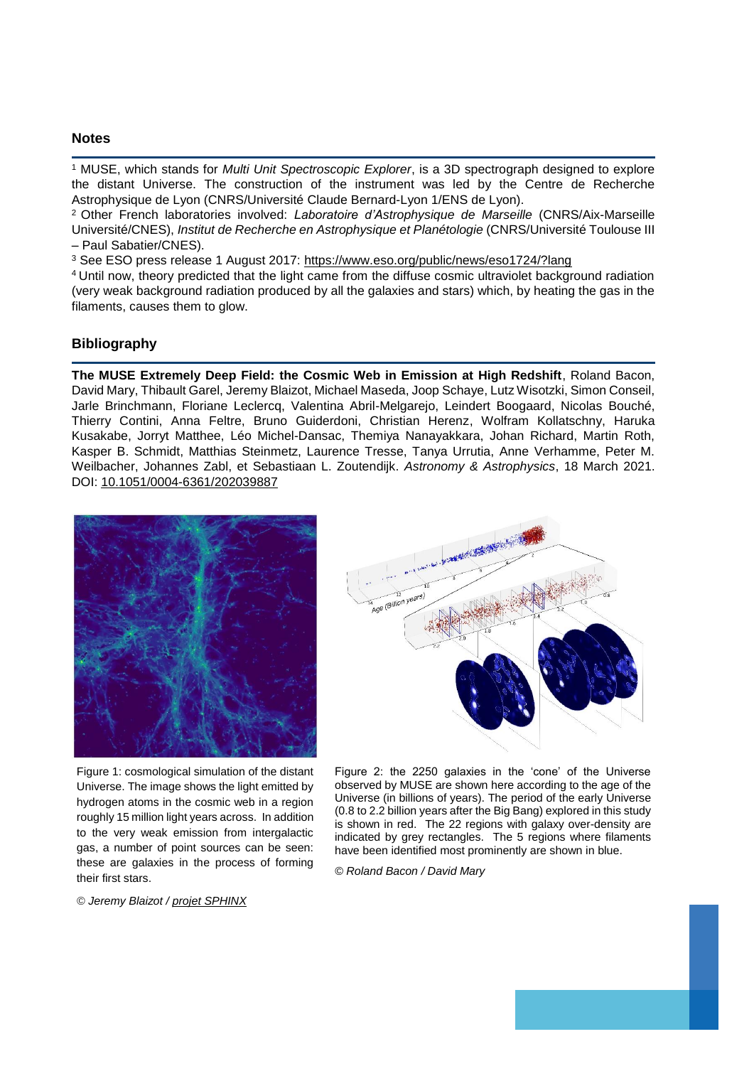#### **Notes**

<sup>1</sup> MUSE, which stands for *Multi Unit Spectroscopic Explorer*, is a 3D spectrograph designed to explore the distant Universe. The construction of the instrument was led by the Centre de Recherche Astrophysique de Lyon (CNRS/Université Claude Bernard-Lyon 1/ENS de Lyon).

<sup>2</sup>Other French laboratories involved: *Laboratoire d'Astrophysique de Marseille* (CNRS/Aix-Marseille Université/CNES), *Institut de Recherche en Astrophysique et Planétologie* (CNRS/Université Toulouse III – Paul Sabatier/CNES).

<sup>3</sup> See ESO press release 1 August 2017: <https://www.eso.org/public/news/eso1724/?lang>

<sup>4</sup> Until now, theory predicted that the light came from the diffuse cosmic ultraviolet background radiation (very weak background radiation produced by all the galaxies and stars) which, by heating the gas in the filaments, causes them to glow.

### **Bibliography**

**The MUSE Extremely Deep Field: the Cosmic Web in Emission at High Redshift**, Roland Bacon, David Mary, Thibault Garel, Jeremy Blaizot, Michael Maseda, Joop Schaye, Lutz Wisotzki, Simon Conseil, Jarle Brinchmann, Floriane Leclercq, Valentina Abril-Melgarejo, Leindert Boogaard, Nicolas Bouché, Thierry Contini, Anna Feltre, Bruno Guiderdoni, Christian Herenz, Wolfram Kollatschny, Haruka Kusakabe, Jorryt Matthee, Léo Michel-Dansac, Themiya Nanayakkara, Johan Richard, Martin Roth, Kasper B. Schmidt, Matthias Steinmetz, Laurence Tresse, Tanya Urrutia, Anne Verhamme, Peter M. Weilbacher, Johannes Zabl, et Sebastiaan L. Zoutendijk. *Astronomy & Astrophysics*, 18 March 2021. DOI: [10.1051/0004-6361/202039887](https://doi.org/10.1051/0004-6361/202039887)



Figure 1: cosmological simulation of the distant Universe. The image shows the light emitted by hydrogen atoms in the cosmic web in a region roughly 15 million light years across. In addition to the very weak emission from intergalactic gas, a number of point sources can be seen: these are galaxies in the process of forming their first stars.

*© Jeremy Blaizot / [projet SPHINX](https://sphinx.univ-lyon1.fr/)*



Figure 2: the 2250 galaxies in the 'cone' of the Universe observed by MUSE are shown here according to the age of the Universe (in billions of years). The period of the early Universe (0.8 to 2.2 billion years after the Big Bang) explored in this study is shown in red. The 22 regions with galaxy over-density are indicated by grey rectangles. The 5 regions where filaments have been identified most prominently are shown in blue.

*© Roland Bacon / David Mary*